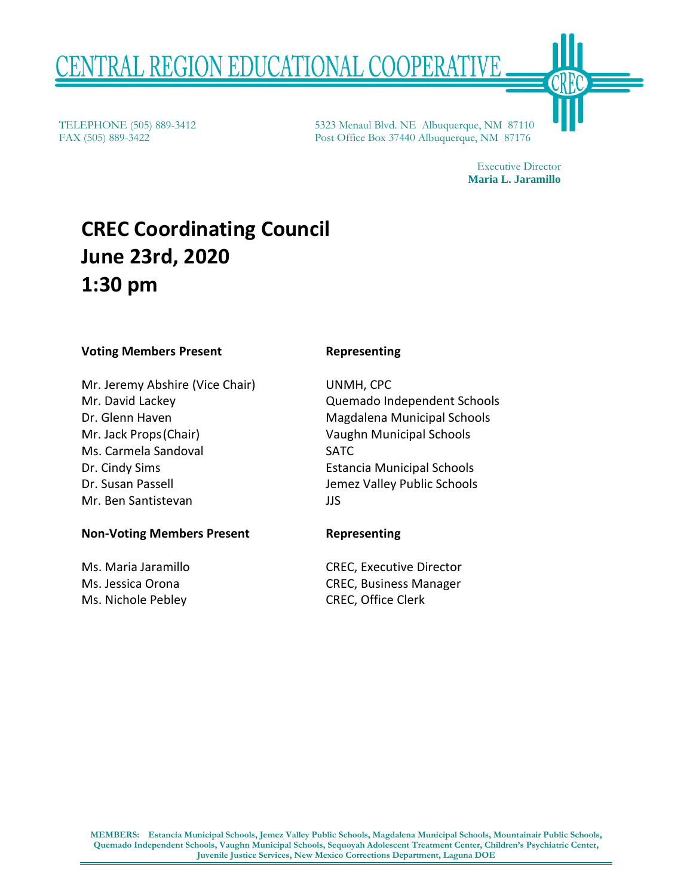# <u>TRAL REGION EDUCATIONAL COOPERATIVE</u>

TELEPHONE (505) 889-3412 FAX (505) 889-3422

5323 Menaul Blvd. NE Albuquerque, NM 87110 Post Office Box 37440 Albuquerque, NM 87176

> Executive Director Maria L. Jaramillo

# CREC Coordinating Council June 23rd, 2020 **June 23rd, 2020**  1:30 pm **1:30 pm**

#### Voting Members Present **Voting Members Present Representing**

Mr. Jeremy Abshire (Vice Chair) Mr. Jeremy Abshire (Vice Chair) UNMH, CPC Mr. David Lackey Quemado Independent Schools Mr. David Lackey Dr. Glenn Haven Mr. Jack Props (Chair) Ms. Carmela Sandoval Dr. Cindy Sims Dr. Susan Passell Mr. Ben Santistevan Dr. Glenn Haven Magdalena Municipal Schools<br>Mr. Jack Props (Chair) Vaughn Municipal Schools Vaughn Municipal Schools<br>Ms. Carmela Sandoval SATC SATC Dr. Cindy Sims Estancia Municipal Schools Dr. Susan Passell Jemez Valley Public Schools Mr. Ben Santistevan JJS

#### Non-Voting Members Present **Non-Voting Members Present Representing**

Ms. Maria Jaramillo Ms. Jessica Orona Ms. Nichole Pebley

#### Representing

UNMH, CPC Quemado Independent Schools Magdalena Municipal Schools Vaughn Municipal Schools SATC Estancia Municipal Schools Jemez Valley Public Schools JJS **CREC Coordinating Council**<br> **June 23rd, 2020**<br> **I:30 pm**<br>
Mr. Jeremy Abshire (Vice Chair)<br>
Mr. David Lackey<br>
Mr. David Lackey<br>
Dr. Giann Haven<br>
Dr. Giann Haven<br>
Dr. Gianny Abshire (Vice Chair)<br>
Mr. Jack Props (Chair)<br>
Mr. THLEPHONE (505) 889-3412<br>
PAX (505) 889-3412<br>
Post Office Hox 37400 Abhaptergie, NM 87176<br>
Post Office Hox 3740 Abhaptergie, NM 87176<br>
<br> **CREC Coordinating Council**<br>
<br> **June 23rd, 2020**<br>
<br> **1:30 pm**<br>
<br> **Voting Members Pre** 

#### Representing

CREC, Executive Director CREC, Business Manager CREC, Office Clerk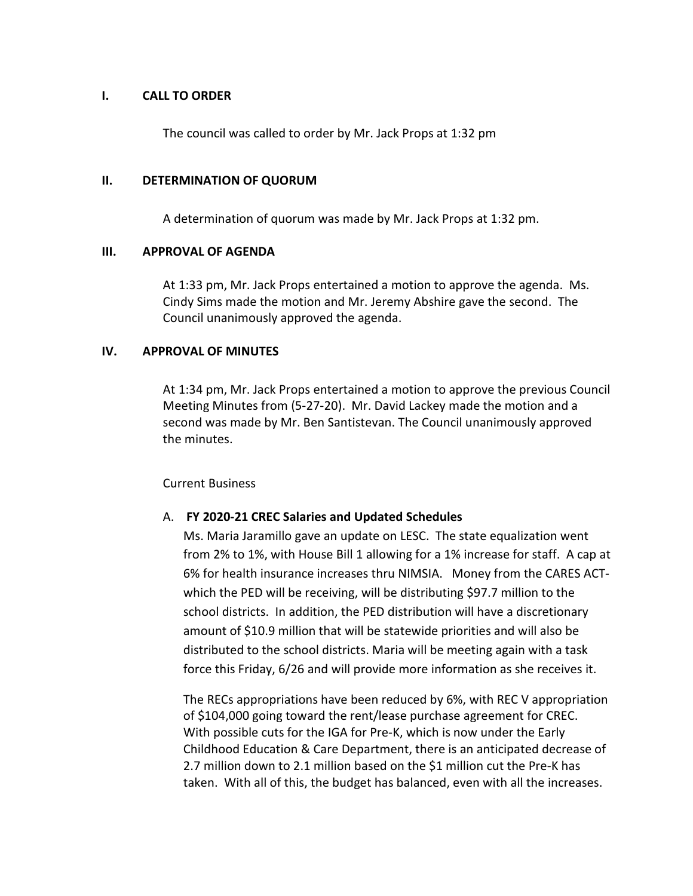# I. CALL TO ORDER **I. CALL TO ORDER**

The council was called to order by Mr. Jack Props at 1:32 pm The council was called to order by Mr. Jack Props at 1:32 pm

# II. DETERMINATION OF QUORUM **II. DETERMINATION OF QUORUM**

A determination of quorum was made by Mr. Jack Props at 1:32 pm. A determination of quorum was made by Mr. Jack Props at 1:32 pm.

#### III. APPROVAL OF AGENDA **III. APPROVAL OF AGENDA**

At 1:33 pm, Mr. Jack Props entertained a motion to approve the agenda. Ms.<br>Cindy Sims made the motion and Mr. Jeremy Abshire gave the second. The<br>Council unanimously approved the agenda. Cindy Sims made the motion and Mr. Jeremy Abshire gave the second. The Council unanimously approved the agenda.

# IV. APPROVAL OF MINUTES **IV. APPROVAL OF MINUTES**

At 1:34 pm, Mr. Jack Props entertained a motion to approve the previous Council Meeting Minutes from (5-27-20). Mr. David Lackey made the motion and a At 1:34 pm, Mr. Jack Props entertained a motion to approve the previous Council<br>Meeting Minutes from (5-27-20). Mr. David Lackey made the motion and a<br>second was made by Mr. Ben Santistevan. The Council unanimously approve the minutes. the minutes.

#### Current Business Current Business

# A. FY 2020-21 CREC Salaries and Updated Schedules A. **FY 2020-21 CREC Salaries and Updated Schedules**

Ms. Maria Jaramillo gave an update on LESC. The state equalization went Ms. Maria Jaramillo gave an update on LESC. The state equalization went from 2% to 1%, with House Bill 1 allowing for a 1% increase for staff. A cap at from 2% to 1%, with House Bill 1 allowing for a 1% increase for staff. A cap at 6% for health insurance increases thru NIMSIA. Money from the CARES ACT-6% for health insurance increases thru NIMSIA. Money from the CARES ACTwhich the PED will be receiving, will be distributing \$97.7 million to the school districts. In addition, the PED distribution will have a discretionary amount of \$10.9 million that will be statewide priorities and will also be distributed to the school districts. Maria will be meeting again with a task distributed to the school districts. Maria will be meeting again with a task force this Friday, 6/26 and will provide more information as she receives it. force this Friday, 6/26 and will provide more information as she receives it. which the PED will be receiving, will be distributing \$97.7 million to the<br>school districts. In addition, the PED distribution will have a discretionary<br>amount of \$10.9 million that will be statewide priorities and will al

The RECs appropriations have been reduced by 6%, with REC V appropriation The RECs appropriations have been reduced by 6%, with REC V appropriation of \$104,000 going toward the rent/lease purchase agreement for CREC. of \$104,000 going toward the rent/lease purchase agreement for CREC.<br>With possible cuts for the IGA for Pre-K, which is now under the Early Childhood Education & Care Department, there is an anticipated decrease of Childhood Education & Care Department, there is an anticipated decrease of 2.7 million down to 2.1 million based on the \$1 million cut the Pre-K has 2.7 million down to 2.1 million based on the \$1 million cut the Pre-K has<br>taken. With all of this, the budget has balanced, even with all the increases.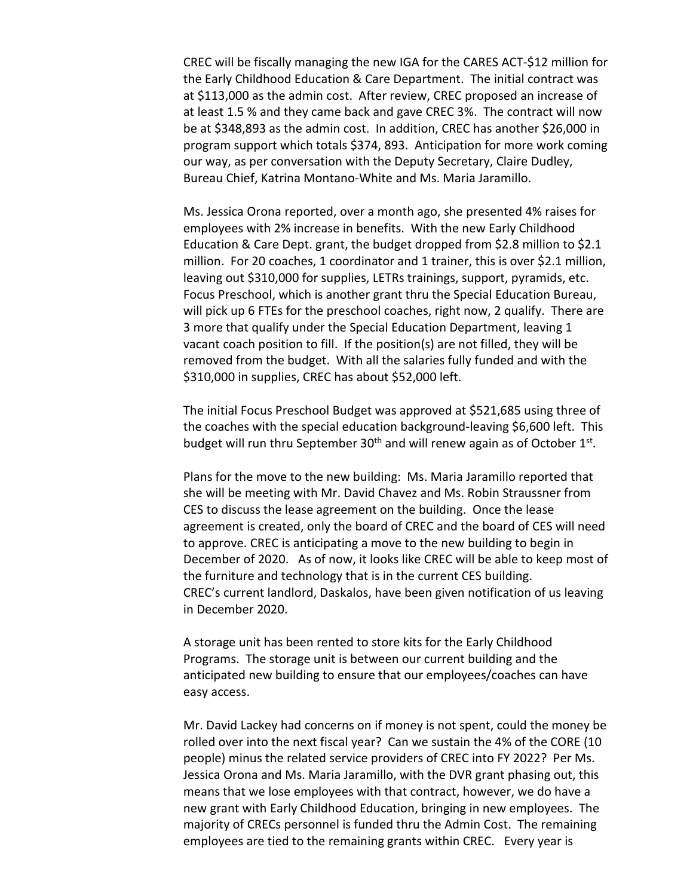CREC will be fiscally managing the new IGA for the CARES ACT-\$12 million for<br>the Early Childhood Education & Care Department. The initial contract was the Early Childhood Education & Care Department. The initial contract was at \$113,000 as the admin cost. After review, CREC proposed an increase of at \$113,000 as the admin cost. After review, CREC proposed an increase of at least 1.5 % and they came back and gave CREC 3%. The contract will now be at \$348,893 as the admin cost. In addition, CREC has another \$26,000 in be at \$348,893 as the admin cost. In addition, CREC has another \$26,000 in program support which totals \$374, 893. Anticipation for more work coming program support which totals \$374, 893. Anticipation for more work coming our way, as per conversation with the Deputy Secretary, Claire Dudley, Bureau Chief, Katrina Montano-White and Ms. Maria Jaramillo. Bureau Chief, Katrina Montano-White and Ms. Maria Jaramillo.

Ms. Jessica Orona reported, over a month ago, she presented 4% raises for Ms. Jessica Orona reported, over a month ago, she presented 4% raises for employees with 2% increase in benefits. With the new Early Childhood employees with 2% increase in benefits. With the new Early Childhood Education & Care Dept. grant, the budget dropped from \$2.8 million to \$2.1 Education & Care Dept. grant, the budget dropped from \$2.8 million to \$2.1 million. For 20 coaches, 1 coordinator and 1 trainer, this is over \$2.1 million, million. For 20 coaches, 1 coordinator and 1 trainer, this is over \$2.1 million, leaving out \$310,000 for supplies, LETRs trainings, support, pyramids, etc. leaving out \$310,000 for supplies, LETRs trainings, support, pyramids, etc. Focus Preschool, which is another grant thru the Special Education Bureau, Focus Preschool, which is another grant thru the Special Education Bureau, will pick up 6 FTEs for the preschool coaches, right now, 2 qualify. There are<br>3 more that qualify under the Special Education Department, leaving 1 3 more that qualify under the Special Education Department, leaving 1 vacant coach position to fill. If the position(s) are not filled, they will be vacant coach position to fill. If the position(s) are not filled, they will be removed from the budget. With all the salaries fully funded and with the removed from the budget. With all the salaries fully funded and with the \$310,000 in supplies, CREC has about \$52,000 left. \$310,000 in supplies, CREC has about \$52,000 left.<br>The initial Focus Preschool Budget was approved at \$521,685 using three of

the coaches with the special education background-leaving \$6,600 left. This<br>budget will run thru September 30<sup>th</sup> and will renew again as of October 1<sup>st</sup>. budget will run thru September 30<sup>th</sup> and will renew again as of October  $1^{st}$ .

Plans for the move to the new building: Ms. Maria Jaramillo reported that Plans for the move to the new building: Ms. Maria Jaramillo reported that she will be meeting with Mr. David Chavez and Ms. Robin Straussner from she will be meeting with Mr. David Chavez and Ms. Robin Straussner from CES to discuss the lease agreement on the building. Once the lease CES to discuss the lease agreement on the building. Once the lease agreement is created, only the board of CREC and the board of CES will need to approve. CREC is anticipating a move to the new building to begin in agreement is created, only the board of CREC and the board of CES will need<br>to approve. CREC is anticipating a move to the new building to begin in<br>December of 2020. As of now, it looks like CREC will be able to keep most the furniture and technology that is in the current CES building. the furniture and technology that is in the current CES building. CREC's current landlord, Daskalos, have been given notification of us leaving CREC's current landlord, Daskalos, have been given notification of us leaving in December 2020. in December 2020.

A storage unit has been rented to store kits for the Early Childhood A storage unit has been rented to store kits for the Early Childhood<br>Programs. The storage unit is between our current building and the anticipated new building to ensure that our employees/coaches can have anticipated new building to ensure that our employees/coaches can have easy access. easy access.

Mr. David Lackey had concerns on if money is not spent, could the money be rolled over into the next fiscal year? Can we sustain the 4% of the CORE (10 rolled over into the next fiscal year? Can we sustain the 4% of the CORE (10 people) minus the related service providers of CREC into FY 2022? Per Ms. people) minus the related service providers of CREC into FY 2022? Per Ms. Jessica Orona and Ms. Maria Jaramillo, with the DVR grant phasing out, this Jessica Orona and Ms. Maria Jaramillo, with the DVR grant phasing out, this means that we lose employees with that contract, however, we do have a means that we lose employees with that contract, however, we do have a new grant with Early Childhood Education, bringing in new employees. The new grant with Early Childhood Education, bringing in new employees. The majority of CRECs personnel is funded thru the Admin Cost. The remaining majority of CRECs personnel is funded thru the Admin Cost. The remaining employees are tied to the remaining grants within CREC. Every year is employees are tied to the remaining grants within CREC. Every year is